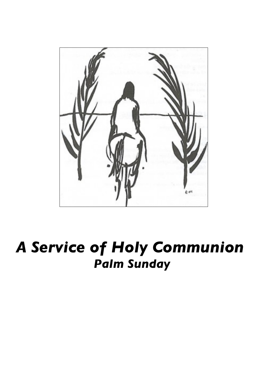

*A Service of Holy Communion Palm Sunday*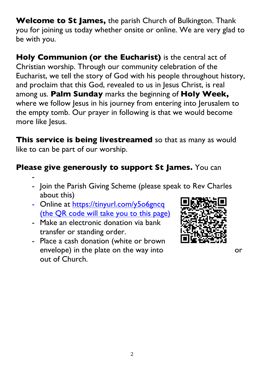**Welcome to St James,** the parish Church of Bulkington. Thank you for joining us today whether onsite or online. We are very glad to be with you.

**Holy Communion (or the Eucharist)** is the central act of Christian worship. Through our community celebration of the Eucharist, we tell the story of God with his people throughout history, and proclaim that this God, revealed to us in Jesus Christ, is real among us. **Palm Sunday** marks the beginning of **Holy Week,**  where we follow Jesus in his journey from entering into Jerusalem to the empty tomb. Our prayer in following is that we would become more like Jesus.

**This service is being livestreamed** so that as many as would like to can be part of our worship.

## **Please give generously to support St James.** You can

- - Join the Parish Giving Scheme (please speak to Rev Charles about this)
- Online at https://tinyurl.com/y5o6gncq (the QR code will take you to this page)
- Make an electronic donation via bank transfer or standing order.
- Place a cash donation (white or brown envelope) in the plate on the way into or out of Church.

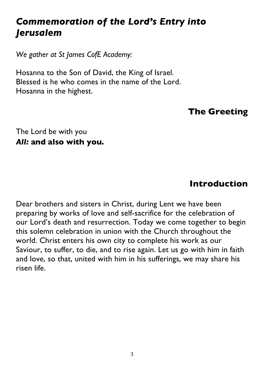# *Commemoration of the Lord's Entry into Jerusalem*

*We gather at St James CofE Academy:*

Hosanna to the Son of David, the King of Israel. Blessed is he who comes in the name of the Lord. Hosanna in the highest.

### **The Greeting**

The Lord be with you *All:* **and also with you.**

#### **Introduction**

Dear brothers and sisters in Christ, during Lent we have been preparing by works of love and self-sacrifice for the celebration of our Lord's death and resurrection. Today we come together to begin this solemn celebration in union with the Church throughout the world. Christ enters his own city to complete his work as our Saviour, to suffer, to die, and to rise again. Let us go with him in faith and love, so that, united with him in his sufferings, we may share his risen life.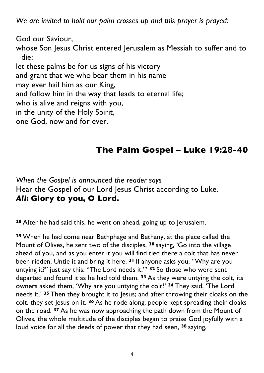*We are invited to hold our palm crosses up and this prayer is prayed:*

God our Saviour,

whose Son Jesus Christ entered Jerusalem as Messiah to suffer and to die;

let these palms be for us signs of his victory and grant that we who bear them in his name may ever hail him as our King, and follow him in the way that leads to eternal life; who is alive and reigns with you, in the unity of the Holy Spirit, one God, now and for ever.

# **The Palm Gospel – Luke 19:28-40**

*When the Gospel is announced the reader says* Hear the Gospel of our Lord Jesus Christ according to Luke. *All***: Glory to you, O Lord.**

**<sup>28</sup>** After he had said this, he went on ahead, going up to Jerusalem.

**<sup>29</sup>** When he had come near Bethphage and Bethany, at the place called the Mount of Olives, he sent two of the disciples, **<sup>30</sup>** saying, 'Go into the village ahead of you, and as you enter it you will find tied there a colt that has never been ridden. Untie it and bring it here. **<sup>31</sup>** If anyone asks you, "Why are you untying it?" just say this: "The Lord needs it."' **<sup>32</sup>** So those who were sent departed and found it as he had told them. **<sup>33</sup>** As they were untying the colt, its owners asked them, 'Why are you untying the colt?' **<sup>34</sup>** They said, 'The Lord needs it.' **<sup>35</sup>** Then they brought it to Jesus; and after throwing their cloaks on the colt, they set Jesus on it. **<sup>36</sup>** As he rode along, people kept spreading their cloaks on the road. **<sup>37</sup>** As he was now approaching the path down from the Mount of Olives, the whole multitude of the disciples began to praise God joyfully with a loud voice for all the deeds of power that they had seen, **<sup>38</sup>** saying,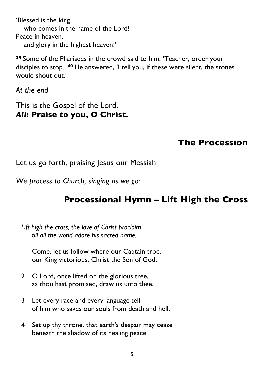'Blessed is the king who comes in the name of the Lord! Peace in heaven, and glory in the highest heaven!'

**<sup>39</sup>** Some of the Pharisees in the crowd said to him, 'Teacher, order your disciples to stop.' **<sup>40</sup>** He answered, 'I tell you, if these were silent, the stones would shout out.'

*At the end*

This is the Gospel of the Lord. *All***: Praise to you, O Christ.**

## **The Procession**

Let us go forth, praising Jesus our Messiah

*We process to Church, singing as we go:*

# **Processional Hymn – Lift High the Cross**

*Lift high the cross, the love of Christ proclaim till all the world adore his sacred name.* 

- 1 Come, let us follow where our Captain trod, our King victorious, Christ the Son of God.
- 2 O Lord, once lifted on the glorious tree, as thou hast promised, draw us unto thee.
- 3 Let every race and every language tell of him who saves our souls from death and hell.
- 4 Set up thy throne, that earth's despair may cease beneath the shadow of its healing peace.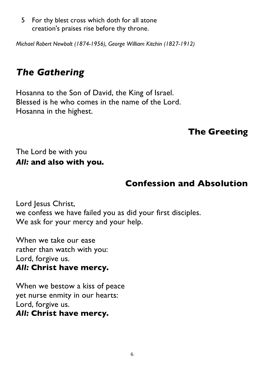5 For thy blest cross which doth for all atone creation's praises rise before thy throne.

*Michael Robert Newbolt (1874-1956), George William Kitchin (1827-1912)*

# *The Gathering*

Hosanna to the Son of David, the King of Israel. Blessed is he who comes in the name of the Lord. Hosanna in the highest.

# **The Greeting**

The Lord be with you *All:* **and also with you.**

# **Confession and Absolution**

Lord Jesus Christ, we confess we have failed you as did your first disciples. We ask for your mercy and your help.

When we take our ease rather than watch with you: Lord, forgive us. *All:* **Christ have mercy.**

When we bestow a kiss of peace yet nurse enmity in our hearts: Lord, forgive us. *All:* **Christ have mercy.**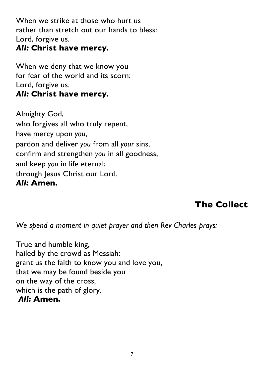When we strike at those who hurt us rather than stretch out our hands to bless: Lord, forgive us. *All:* **Christ have mercy.**

When we deny that we know you for fear of the world and its scorn: Lord, forgive us. *All:* **Christ have mercy.**

Almighty God, who forgives all who truly repent, have mercy upon *you*, pardon and deliver *you* from all *your* sins, confirm and strengthen *you* in all goodness, and keep *you* in life eternal; through Jesus Christ our Lord. *All:* **Amen.**

# **The Collect**

*We spend a moment in quiet prayer and then Rev Charles prays:* 

True and humble king, hailed by the crowd as Messiah: grant us the faith to know you and love you, that we may be found beside you on the way of the cross, which is the path of glory. *All:* **Amen.**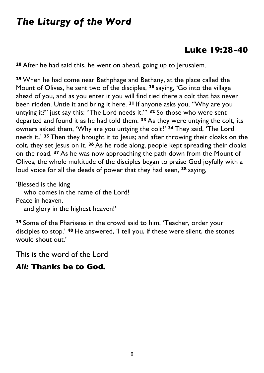# *The Liturgy of the Word*

### **Luke 19:28-40**

**<sup>28</sup>** After he had said this, he went on ahead, going up to Jerusalem.

**<sup>29</sup>** When he had come near Bethphage and Bethany, at the place called the Mount of Olives, he sent two of the disciples, **<sup>30</sup>** saying, 'Go into the village ahead of you, and as you enter it you will find tied there a colt that has never been ridden. Untie it and bring it here. **<sup>31</sup>** If anyone asks you, "Why are you untying it?" just say this: "The Lord needs it."' **<sup>32</sup>** So those who were sent departed and found it as he had told them. **<sup>33</sup>** As they were untying the colt, its owners asked them, 'Why are you untying the colt?' **<sup>34</sup>** They said, 'The Lord needs it.' **<sup>35</sup>** Then they brought it to Jesus; and after throwing their cloaks on the colt, they set Jesus on it. **<sup>36</sup>** As he rode along, people kept spreading their cloaks on the road. **<sup>37</sup>** As he was now approaching the path down from the Mount of Olives, the whole multitude of the disciples began to praise God joyfully with a loud voice for all the deeds of power that they had seen, **<sup>38</sup>** saying,

'Blessed is the king who comes in the name of the Lord! Peace in heaven, and glory in the highest heaven!'

**<sup>39</sup>** Some of the Pharisees in the crowd said to him, 'Teacher, order your disciples to stop.' **<sup>40</sup>** He answered, 'I tell you, if these were silent, the stones would shout out.'

This is the word of the Lord

#### *All:* **Thanks be to God.**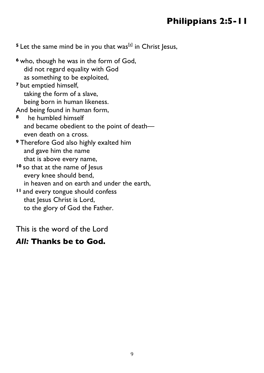## **Philippians 2:5-11**

<sup>5</sup> Let the same mind be in you that was<sup>[a]</sup> in Christ Jesus,

**<sup>6</sup>** who, though he was in the form of God, did not regard equality with God as something to be exploited, **<sup>7</sup>** but emptied himself, taking the form of a slave, being born in human likeness. And being found in human form, **<sup>8</sup>** he humbled himself and became obedient to the point of death even death on a cross. **<sup>9</sup>** Therefore God also highly exalted him and gave him the name that is above every name, **<sup>10</sup>** so that at the name of Jesus every knee should bend, in heaven and on earth and under the earth, **<sup>11</sup>** and every tongue should confess that Jesus Christ is Lord,

to the glory of God the Father.

This is the word of the Lord

#### *All:* **Thanks be to God.**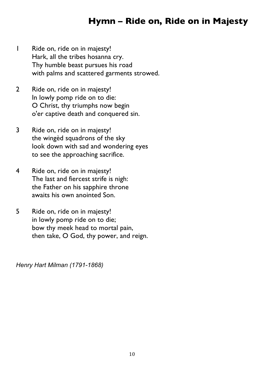## **Hymn – Ride on, Ride on in Majesty**

- 1 Ride on, ride on in majesty! Hark, all the tribes hosanna cry. Thy humble beast pursues his road with palms and scattered garments strowed.
- 2 Ride on, ride on in majesty! In lowly pomp ride on to die: O Christ, thy triumphs now begin o'er captive death and conquered sin.
- 3 Ride on, ride on in majesty! the wingèd squadrons of the sky look down with sad and wondering eyes to see the approaching sacrifice.
- 4 Ride on, ride on in majesty! The last and fiercest strife is nigh: the Father on his sapphire throne awaits his own anointed Son.
- 5 Ride on, ride on in majesty! in lowly pomp ride on to die; bow thy meek head to mortal pain, then take, O God, thy power, and reign.

*Henry Hart Milman (1791-1868)*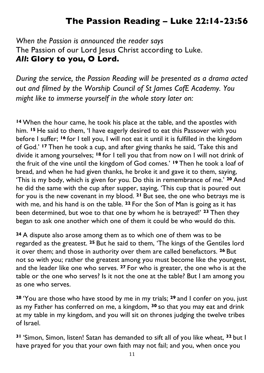## **The Passion Reading – Luke 22:14-23:56**

*When the Passion is announced the reader says* The Passion of our Lord Jesus Christ according to Luke. *All***: Glory to you, O Lord.**

*During the service, the Passion Reading will be presented as a drama acted out and filmed by the Worship Council of St James CofE Academy. You might like to immerse yourself in the whole story later on:*

**<sup>14</sup>** When the hour came, he took his place at the table, and the apostles with him. **<sup>15</sup>** He said to them, 'I have eagerly desired to eat this Passover with you before I suffer; **<sup>16</sup>** for I tell you, I will not eat it until it is fulfilled in the kingdom of God.' **<sup>17</sup>** Then he took a cup, and after giving thanks he said, 'Take this and divide it among yourselves; **<sup>18</sup>** for I tell you that from now on I will not drink of the fruit of the vine until the kingdom of God comes.' **<sup>19</sup>** Then he took a loaf of bread, and when he had given thanks, he broke it and gave it to them, saying, 'This is my body, which is given for you. Do this in remembrance of me.' **<sup>20</sup>** And he did the same with the cup after supper, saying, 'This cup that is poured out for you is the new covenant in my blood. **<sup>21</sup>** But see, the one who betrays me is with me, and his hand is on the table. **<sup>22</sup>** For the Son of Man is going as it has been determined, but woe to that one by whom he is betrayed!' **<sup>23</sup>** Then they began to ask one another which one of them it could be who would do this.

**<sup>24</sup>** A dispute also arose among them as to which one of them was to be regarded as the greatest. **<sup>25</sup>** But he said to them, 'The kings of the Gentiles lord it over them; and those in authority over them are called benefactors. **<sup>26</sup>** But not so with you; rather the greatest among you must become like the youngest, and the leader like one who serves. **<sup>27</sup>** For who is greater, the one who is at the table or the one who serves? Is it not the one at the table? But I am among you as one who serves.

**<sup>28</sup>** 'You are those who have stood by me in my trials; **<sup>29</sup>** and I confer on you, just as my Father has conferred on me, a kingdom, **<sup>30</sup>** so that you may eat and drink at my table in my kingdom, and you will sit on thrones judging the twelve tribes of Israel.

**<sup>31</sup>** 'Simon, Simon, listen! Satan has demanded to sift all of you like wheat, **<sup>32</sup>** but I have prayed for you that your own faith may not fail; and you, when once you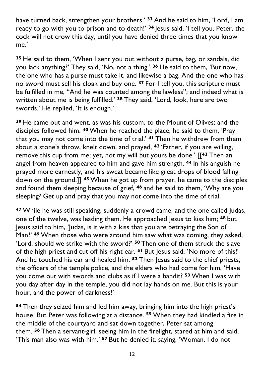have turned back, strengthen your brothers.' **<sup>33</sup>** And he said to him, 'Lord, I am ready to go with you to prison and to death!' **<sup>34</sup>** Jesus said, 'I tell you, Peter, the cock will not crow this day, until you have denied three times that you know me.'

**<sup>35</sup>** He said to them, 'When I sent you out without a purse, bag, or sandals, did you lack anything?' They said, 'No, not a thing.' **<sup>36</sup>** He said to them, 'But now, the one who has a purse must take it, and likewise a bag. And the one who has no sword must sell his cloak and buy one. **<sup>37</sup>** For I tell you, this scripture must be fulfilled in me, "And he was counted among the lawless"; and indeed what is written about me is being fulfilled.' **<sup>38</sup>** They said, 'Lord, look, here are two swords.' He replied, 'It is enough.'

**<sup>39</sup>** He came out and went, as was his custom, to the Mount of Olives; and the disciples followed him. **<sup>40</sup>** When he reached the place, he said to them, 'Pray that you may not come into the time of trial.' **<sup>41</sup>** Then he withdrew from them about a stone's throw, knelt down, and prayed, **<sup>42</sup>** 'Father, if you are willing, remove this cup from me; yet, not my will but yours be done.' [[**<sup>43</sup>** Then an angel from heaven appeared to him and gave him strength. **<sup>44</sup>** In his anguish he prayed more earnestly, and his sweat became like great drops of blood falling down on the ground.]] **<sup>45</sup>** When he got up from prayer, he came to the disciples and found them sleeping because of grief, **<sup>46</sup>** and he said to them, 'Why are you sleeping? Get up and pray that you may not come into the time of trial.

**<sup>47</sup>** While he was still speaking, suddenly a crowd came, and the one called Judas, one of the twelve, was leading them. He approached Jesus to kiss him; **<sup>48</sup>** but Jesus said to him, 'Judas, is it with a kiss that you are betraying the Son of Man?' **<sup>49</sup>** When those who were around him saw what was coming, they asked, 'Lord, should we strike with the sword?' **<sup>50</sup>** Then one of them struck the slave of the high priest and cut off his right ear. **<sup>51</sup>** But Jesus said, 'No more of this!' And he touched his ear and healed him. **<sup>52</sup>** Then Jesus said to the chief priests, the officers of the temple police, and the elders who had come for him, 'Have you come out with swords and clubs as if I were a bandit? **<sup>53</sup>** When I was with you day after day in the temple, you did not lay hands on me. But this is your hour, and the power of darkness!'

**<sup>54</sup>** Then they seized him and led him away, bringing him into the high priest's house. But Peter was following at a distance. **<sup>55</sup>** When they had kindled a fire in the middle of the courtyard and sat down together, Peter sat among them. **<sup>56</sup>** Then a servant-girl, seeing him in the firelight, stared at him and said, 'This man also was with him.' **<sup>57</sup>** But he denied it, saying, 'Woman, I do not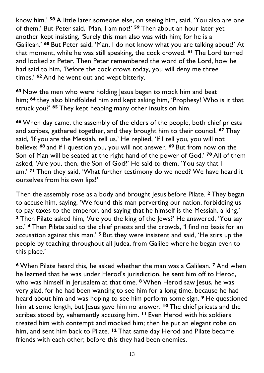know him.' **<sup>58</sup>** A little later someone else, on seeing him, said, 'You also are one of them.' But Peter said, 'Man, I am not!' **<sup>59</sup>** Then about an hour later yet another kept insisting, 'Surely this man also was with him; for he is a Galilean.' **<sup>60</sup>** But Peter said, 'Man, I do not know what you are talking about!' At that moment, while he was still speaking, the cock crowed. **<sup>61</sup>** The Lord turned and looked at Peter. Then Peter remembered the word of the Lord, how he had said to him, 'Before the cock crows today, you will deny me three times.' **<sup>62</sup>** And he went out and wept bitterly.

**<sup>63</sup>** Now the men who were holding Jesus began to mock him and beat him; **<sup>64</sup>** they also blindfolded him and kept asking him, 'Prophesy! Who is it that struck you?' **<sup>65</sup>** They kept heaping many other insults on him.

**<sup>66</sup>** When day came, the assembly of the elders of the people, both chief priests and scribes, gathered together, and they brought him to their council. **<sup>67</sup>** They said, 'If you are the Messiah, tell us.' He replied, 'If I tell you, you will not believe; **<sup>68</sup>** and if I question you, you will not answer. **<sup>69</sup>** But from now on the Son of Man will be seated at the right hand of the power of God.' **<sup>70</sup>** All of them asked, 'Are you, then, the Son of God?' He said to them, 'You say that I am.' **<sup>71</sup>** Then they said, 'What further testimony do we need? We have heard it ourselves from his own lips!'

Then the assembly rose as a body and brought Jesus before Pilate. **<sup>2</sup>** They began to accuse him, saying, 'We found this man perverting our nation, forbidding us to pay taxes to the emperor, and saying that he himself is the Messiah, a king.' **<sup>3</sup>** Then Pilate asked him, 'Are you the king of the Jews?' He answered, 'You say so.' **<sup>4</sup>** Then Pilate said to the chief priests and the crowds, 'I find no basis for an accusation against this man.' **<sup>5</sup>** But they were insistent and said, 'He stirs up the people by teaching throughout all Judea, from Galilee where he began even to this place.'

**<sup>6</sup>** When Pilate heard this, he asked whether the man was a Galilean. **<sup>7</sup>** And when he learned that he was under Herod's jurisdiction, he sent him off to Herod, who was himself in Jerusalem at that time. **<sup>8</sup>** When Herod saw Jesus, he was very glad, for he had been wanting to see him for a long time, because he had heard about him and was hoping to see him perform some sign. **<sup>9</sup>** He questioned him at some length, but Jesus gave him no answer. **<sup>10</sup>** The chief priests and the scribes stood by, vehemently accusing him. **<sup>11</sup>** Even Herod with his soldiers treated him with contempt and mocked him; then he put an elegant robe on him, and sent him back to Pilate. **<sup>12</sup>** That same day Herod and Pilate became friends with each other; before this they had been enemies.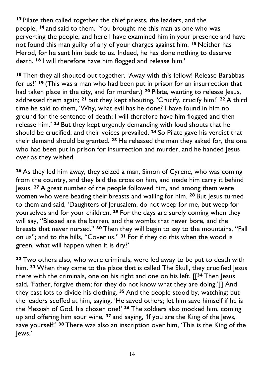**<sup>13</sup>** Pilate then called together the chief priests, the leaders, and the people, **<sup>14</sup>** and said to them, 'You brought me this man as one who was perverting the people; and here I have examined him in your presence and have not found this man guilty of any of your charges against him. **<sup>15</sup>** Neither has Herod, for he sent him back to us. Indeed, he has done nothing to deserve death. **<sup>16</sup>** I will therefore have him flogged and release him.'

**<sup>18</sup>** Then they all shouted out together, 'Away with this fellow! Release Barabbas for us!' **<sup>19</sup>** (This was a man who had been put in prison for an insurrection that had taken place in the city, and for murder.) **<sup>20</sup>** Pilate, wanting to release Jesus, addressed them again; **<sup>21</sup>** but they kept shouting, 'Crucify, crucify him!' **<sup>22</sup>** A third time he said to them, 'Why, what evil has he done? I have found in him no ground for the sentence of death; I will therefore have him flogged and then release him.' **<sup>23</sup>** But they kept urgently demanding with loud shouts that he should be crucified; and their voices prevailed. **<sup>24</sup>** So Pilate gave his verdict that their demand should be granted. **<sup>25</sup>** He released the man they asked for, the one who had been put in prison for insurrection and murder, and he handed Jesus over as they wished.

**<sup>26</sup>** As they led him away, they seized a man, Simon of Cyrene, who was coming from the country, and they laid the cross on him, and made him carry it behind Jesus. **<sup>27</sup>** A great number of the people followed him, and among them were women who were beating their breasts and wailing for him. **<sup>28</sup>** But Jesus turned to them and said, 'Daughters of Jerusalem, do not weep for me, but weep for yourselves and for your children. **<sup>29</sup>** For the days are surely coming when they will say, "Blessed are the barren, and the wombs that never bore, and the breasts that never nursed." **<sup>30</sup>** Then they will begin to say to the mountains, "Fall on us"; and to the hills, "Cover us." **<sup>31</sup>** For if they do this when the wood is green, what will happen when it is dry?'

**<sup>32</sup>** Two others also, who were criminals, were led away to be put to death with him. **<sup>33</sup>** When they came to the place that is called The Skull, they crucified Jesus there with the criminals, one on his right and one on his left. [[**<sup>34</sup>** Then Jesus said, 'Father, forgive them; for they do not know what they are doing.']] And they cast lots to divide his clothing. **<sup>35</sup>** And the people stood by, watching; but the leaders scoffed at him, saying, 'He saved others; let him save himself if he is the Messiah of God, his chosen one!' **<sup>36</sup>** The soldiers also mocked him, coming up and offering him sour wine, **<sup>37</sup>** and saying, 'If you are the King of the Jews, save yourself!' **<sup>38</sup>** There was also an inscription over him, 'This is the King of the Jews.'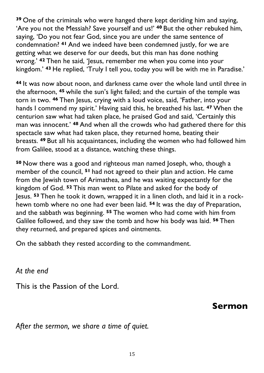**<sup>39</sup>** One of the criminals who were hanged there kept deriding him and saying, 'Are you not the Messiah? Save yourself and us!' **<sup>40</sup>** But the other rebuked him, saying, 'Do you not fear God, since you are under the same sentence of condemnation? **<sup>41</sup>** And we indeed have been condemned justly, for we are getting what we deserve for our deeds, but this man has done nothing wrong.<sup>'</sup> <sup>42</sup> Then he said, 'Jesus, remember me when you come into your kingdom.' **<sup>43</sup>** He replied, 'Truly I tell you, today you will be with me in Paradise.'

**<sup>44</sup>** It was now about noon, and darkness came over the whole land until three in the afternoon, **<sup>45</sup>** while the sun's light failed; and the curtain of the temple was torn in two. **<sup>46</sup>** Then Jesus, crying with a loud voice, said, 'Father, into your hands I commend my spirit.' Having said this, he breathed his last. **<sup>47</sup>** When the centurion saw what had taken place, he praised God and said, 'Certainly this man was innocent.' **<sup>48</sup>** And when all the crowds who had gathered there for this spectacle saw what had taken place, they returned home, beating their breasts. **<sup>49</sup>** But all his acquaintances, including the women who had followed him from Galilee, stood at a distance, watching these things.

**<sup>50</sup>** Now there was a good and righteous man named Joseph, who, though a member of the council, **<sup>51</sup>** had not agreed to their plan and action. He came from the Jewish town of Arimathea, and he was waiting expectantly for the kingdom of God. **<sup>52</sup>** This man went to Pilate and asked for the body of Jesus. **<sup>53</sup>** Then he took it down, wrapped it in a linen cloth, and laid it in a rockhewn tomb where no one had ever been laid. **<sup>54</sup>** It was the day of Preparation, and the sabbath was beginning. **<sup>55</sup>** The women who had come with him from Galilee followed, and they saw the tomb and how his body was laid. **<sup>56</sup>** Then they returned, and prepared spices and ointments.

On the sabbath they rested according to the commandment.

*At the end*

This is the Passion of the Lord.

**Sermon**

*After the sermon, we share a time of quiet.*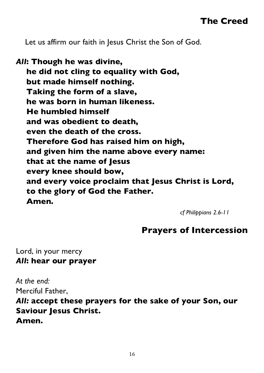Let us affirm our faith in Jesus Christ the Son of God.

*All***: Though he was divine, he did not cling to equality with God, but made himself nothing. Taking the form of a slave, he was born in human likeness. He humbled himself and was obedient to death, even the death of the cross. Therefore God has raised him on high, and given him the name above every name: that at the name of Jesus every knee should bow, and every voice proclaim that Jesus Christ is Lord, to the glory of God the Father. Amen.**

*cf Philippians 2.6-11*

#### **Prayers of Intercession**

Lord, in your mercy *All***: hear our prayer**

*At the end:* Merciful Father,

*All:* **accept these prayers for the sake of your Son, our Saviour Jesus Christ. Amen.**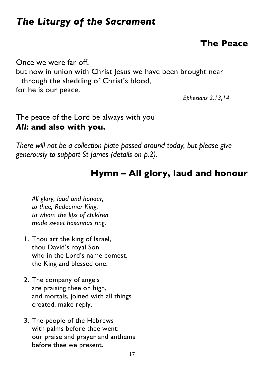# *The Liturgy of the Sacrament*

## **The Peace**

Once we were far off, but now in union with Christ Jesus we have been brought near through the shedding of Christ's blood, for he is our peace.

*Ephesians 2.13,14*

#### The peace of the Lord be always with you *All***: and also with you.**

*There will not be a collection plate passed around today, but please give generously to support St James (details on p.2).*

## **Hymn – All glory, laud and honour**

*All glory, laud and honour, to thee, Redeemer King, to whom the lips of children made sweet hosannas ring.* 

- 1. Thou art the king of Israel, thou David's royal Son, who in the Lord's name comest, the King and blessed one.
- 2. The company of angels are praising thee on high, and mortals, joined with all things created, make reply.
- 3. The people of the Hebrews with palms before thee went: our praise and prayer and anthems before thee we present.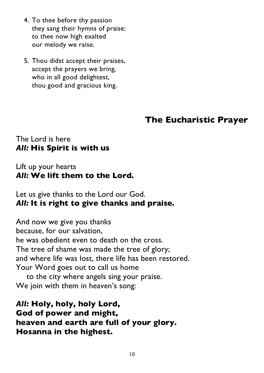- 4. To thee before thy passion they sang their hymns of praise: to thee now high exalted our melody we raise.
- 5. Thou didst accept their praises, accept the prayers we bring, who in all good delightest, thou good and gracious king.

#### **The Eucharistic Prayer**

#### The Lord is here *All:* **His Spirit is with us**

#### Lift up your hearts *All:* **We lift them to the Lord.**

Let us give thanks to the Lord our God. *All:* **It is right to give thanks and praise.**

And now we give you thanks because, for our salvation, he was obedient even to death on the cross. The tree of shame was made the tree of glory; and where life was lost, there life has been restored. Your Word goes out to call us home

to the city where angels sing your praise. We join with them in heaven's song:

*All:* **Holy, holy, holy Lord, God of power and might, heaven and earth are full of your glory. Hosanna in the highest.**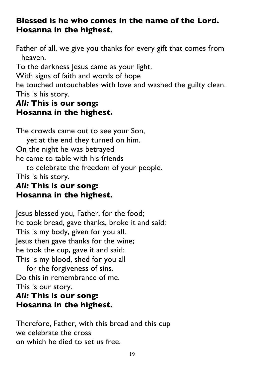#### **Blessed is he who comes in the name of the Lord. Hosanna in the highest.**

Father of all, we give you thanks for every gift that comes from heaven.

To the darkness Jesus came as your light.

With signs of faith and words of hope

he touched untouchables with love and washed the guilty clean. This is his story.

#### *All:* **This is our song: Hosanna in the highest.**

The crowds came out to see your Son, yet at the end they turned on him. On the night he was betrayed he came to table with his friends

to celebrate the freedom of your people. This is his story.

### *All:* **This is our song: Hosanna in the highest.**

Jesus blessed you, Father, for the food; he took bread, gave thanks, broke it and said: This is my body, given for you all. Jesus then gave thanks for the wine; he took the cup, gave it and said: This is my blood, shed for you all

for the forgiveness of sins. Do this in remembrance of me. This is our story.

#### *All:* **This is our song: Hosanna in the highest.**

Therefore, Father, with this bread and this cup we celebrate the cross on which he died to set us free.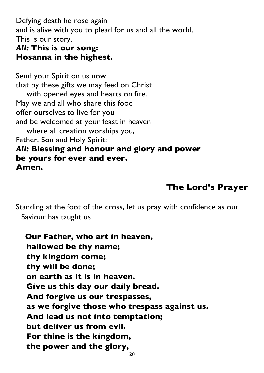Defying death he rose again and is alive with you to plead for us and all the world. This is our story.

#### *All:* **This is our song: Hosanna in the highest.**

Send your Spirit on us now that by these gifts we may feed on Christ with opened eyes and hearts on fire. May we and all who share this food offer ourselves to live for you and be welcomed at your feast in heaven where all creation worships you, Father, Son and Holy Spirit: *All:* **Blessing and honour and glory and power be yours for ever and ever. Amen.**

### **The Lord's Prayer**

Standing at the foot of the cross, let us pray with confidence as our Saviour has taught us

**Our Father, who art in heaven, hallowed be thy name; thy kingdom come; thy will be done; on earth as it is in heaven. Give us this day our daily bread. And forgive us our trespasses, as we forgive those who trespass against us. And lead us not into temptation; but deliver us from evil. For thine is the kingdom, the power and the glory,**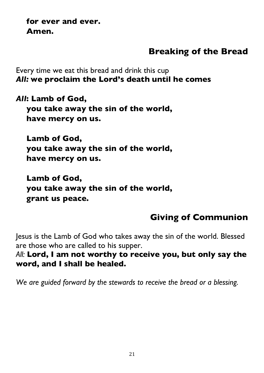**for ever and ever. Amen.**

### **Breaking of the Bread**

Every time we eat this bread and drink this cup *All:* **we proclaim the Lord's death until he comes**

*All***: Lamb of God,**

**you take away the sin of the world, have mercy on us.**

**Lamb of God, you take away the sin of the world, have mercy on us.**

**Lamb of God, you take away the sin of the world, grant us peace.**

# **Giving of Communion**

Jesus is the Lamb of God who takes away the sin of the world. Blessed are those who are called to his supper.

*All:* **Lord, I am not worthy to receive you, but only say the word, and I shall be healed.**

*We are guided forward by the stewards to receive the bread or a blessing.*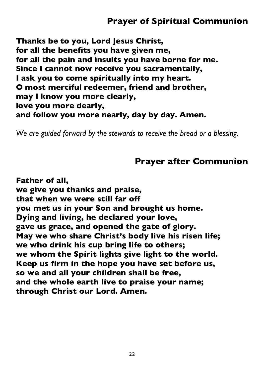**Thanks be to you, Lord Jesus Christ, for all the benefits you have given me, for all the pain and insults you have borne for me. Since I cannot now receive you sacramentally, I ask you to come spiritually into my heart. O most merciful redeemer, friend and brother, may I know you more clearly, love you more dearly, and follow you more nearly, day by day. Amen.**

*We are guided forward by the stewards to receive the bread or a blessing.*

### **Prayer after Communion**

**Father of all, we give you thanks and praise, that when we were still far off you met us in your Son and brought us home. Dying and living, he declared your love, gave us grace, and opened the gate of glory. May we who share Christ's body live his risen life; we who drink his cup bring life to others; we whom the Spirit lights give light to the world. Keep us firm in the hope you have set before us, so we and all your children shall be free, and the whole earth live to praise your name; through Christ our Lord. Amen.**